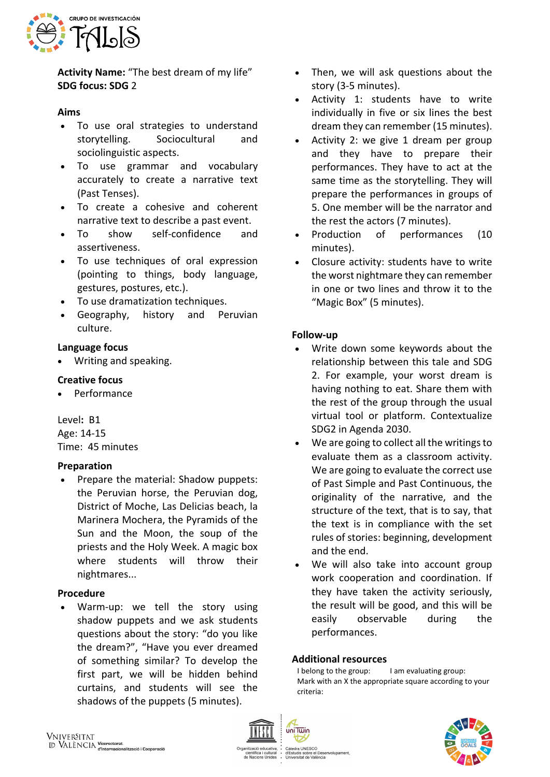

**Activity Name:** "The best dream of my life" **SDG focus: SDG** 2

### **Aims**

- To use oral strategies to understand storytelling. Sociocultural and sociolinguistic aspects.
- To use grammar and vocabulary accurately to create a narrative text (Past Tenses).
- To create a cohesive and coherent narrative text to describe a past event.
- To show self-confidence and assertiveness.
- To use techniques of oral expression (pointing to things, body language, gestures, postures, etc.).
- To use dramatization techniques.
- Geography, history and Peruvian culture.

## **Language focus**

• Writing and speaking.

## **Creative focus**

• Performance

Level**:** B1 Age: 14-15 Time: 45 minutes

#### **Preparation**

• Prepare the material: Shadow puppets: the Peruvian horse, the Peruvian dog, District of Moche, Las Delicias beach, la Marinera Mochera, the Pyramids of the Sun and the Moon, the soup of the priests and the Holy Week. A magic box where students will throw their nightmares...

#### **Procedure**

Warm-up: we tell the story using shadow puppets and we ask students questions about the story: "do you like the dream?", "Have you ever dreamed of something similar? To develop the first part, we will be hidden behind curtains, and students will see the shadows of the puppets (5 minutes).

- Then, we will ask questions about the story (3-5 minutes).
- Activity 1: students have to write individually in five or six lines the best dream they can remember (15 minutes).
- Activity 2: we give 1 dream per group and they have to prepare their performances. They have to act at the same time as the storytelling. They will prepare the performances in groups of 5. One member will be the narrator and the rest the actors (7 minutes).
- Production of performances (10 minutes).
- Closure activity: students have to write the worst nightmare they can remember in one or two lines and throw it to the "Magic Box" (5 minutes).

# **Follow-up**

- Write down some keywords about the relationship between this tale and SDG 2. For example, your worst dream is having nothing to eat. Share them with the rest of the group through the usual virtual tool or platform. Contextualize SDG2 in Agenda 2030.
- We are going to collect all the writings to evaluate them as a classroom activity. We are going to evaluate the correct use of Past Simple and Past Continuous, the originality of the narrative, and the structure of the text, that is to say, that the text is in compliance with the set rules of stories: beginning, development and the end.
- We will also take into account group work cooperation and coordination. If they have taken the activity seriously, the result will be good, and this will be easily observable during the performances.

#### **Additional resources**

I belong to the group: I am evaluating group: Mark with an X the appropriate square according to your criteria:



uniTwin

Cátedra UNESCO<br>d'Estudis sobre el Desenvolupament iuis sobre el Des<br>rsitat de València